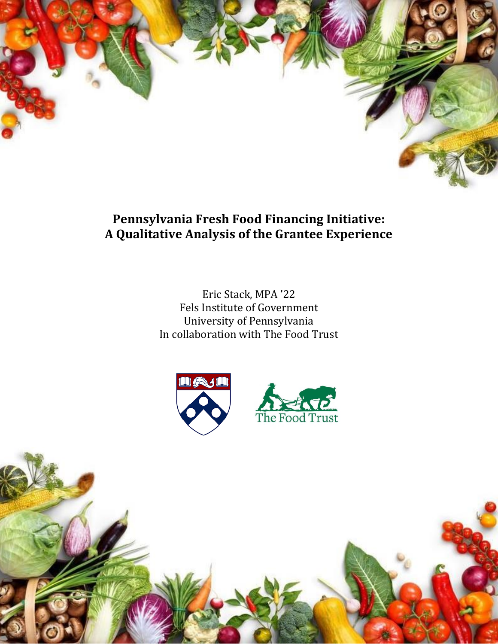

**Pennsylvania Fresh Food Financing Initiative: A Qualitative Analysis of the Grantee Experience**

> Eric Stack, MPA '22 Fels Institute of Government University of Pennsylvania In collaboration with The Food Trust

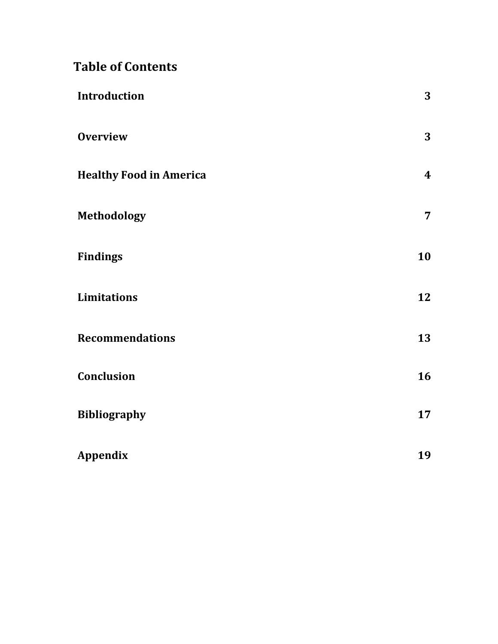# **Table of Contents**

| <b>Introduction</b>            | 3                |
|--------------------------------|------------------|
| <b>Overview</b>                | 3                |
| <b>Healthy Food in America</b> | $\boldsymbol{4}$ |
| <b>Methodology</b>             | $\overline{7}$   |
| <b>Findings</b>                | 10               |
| <b>Limitations</b>             | 12               |
| <b>Recommendations</b>         | 13               |
| Conclusion                     | 16               |
| <b>Bibliography</b>            | 17               |
| <b>Appendix</b>                | 19               |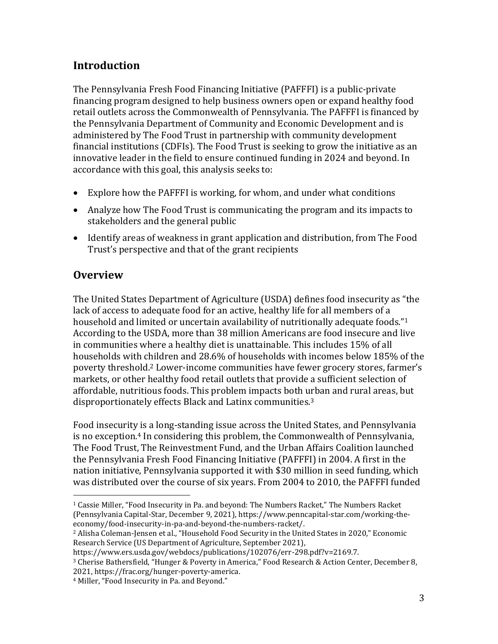# **Introduction**

The Pennsylvania Fresh Food Financing Initiative (PAFFFI) is a public-private financing program designed to help business owners open or expand healthy food retail outlets across the Commonwealth of Pennsylvania. The PAFFFI is financed by the Pennsylvania Department of Community and Economic Development and is administered by The Food Trust in partnership with community development financial institutions (CDFIs). The Food Trust is seeking to grow the initiative as an innovative leader in the field to ensure continued funding in 2024 and beyond. In accordance with this goal, this analysis seeks to:

- Explore how the PAFFFI is working, for whom, and under what conditions
- Analyze how The Food Trust is communicating the program and its impacts to stakeholders and the general public
- Identify areas of weakness in grant application and distribution, from The Food Trust's perspective and that of the grant recipients

### **Overview**

 $\overline{a}$ 

The United States Department of Agriculture (USDA) defines food insecurity as "the lack of access to adequate food for an active, healthy life for all members of a household and limited or uncertain availability of nutritionally adequate foods."<sup>1</sup> According to the USDA, more than 38 million Americans are food insecure and live in communities where a healthy diet is unattainable. This includes 15% of all households with children and 28.6% of households with incomes below 185% of the poverty threshold. <sup>2</sup> Lower-income communities have fewer grocery stores, farmer's markets, or other healthy food retail outlets that provide a sufficient selection of affordable, nutritious foods. This problem impacts both urban and rural areas, but disproportionately effects Black and Latinx communities.<sup>3</sup>

Food insecurity is a long-standing issue across the United States, and Pennsylvania is no exception.<sup>4</sup> In considering this problem, the Commonwealth of Pennsylvania, The Food Trust, The Reinvestment Fund, and the Urban Affairs Coalition launched the Pennsylvania Fresh Food Financing Initiative (PAFFFI) in 2004. A first in the nation initiative, Pennsylvania supported it with \$30 million in seed funding, which was distributed over the course of six years. From 2004 to 2010, the PAFFFI funded

<sup>1</sup> Cassie Miller, "Food Insecurity in Pa. and beyond: The Numbers Racket," The Numbers Racket (Pennsylvania Capital-Star, December 9, 2021), https://www.penncapital-star.com/working-theeconomy/food-insecurity-in-pa-and-beyond-the-numbers-racket/.

<sup>&</sup>lt;sup>2</sup> Alisha Coleman-Jensen et al., "Household Food Security in the United States in 2020," Economic Research Service (US Department of Agriculture, September 2021),

https://www.ers.usda.gov/webdocs/publications/102076/err-298.pdf?v=2169.7.

<sup>3</sup> Cherise Bathersfield, "Hunger & Poverty in America," Food Research & Action Center, December 8, 2021, https://frac.org/hunger-poverty-america.

<sup>4</sup> Miller, "Food Insecurity in Pa. and Beyond."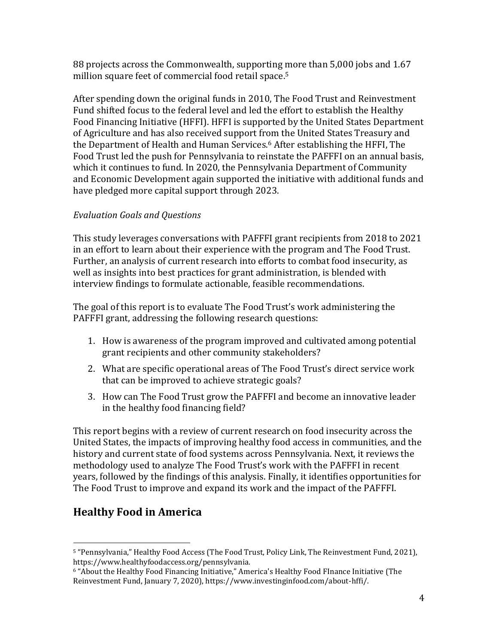88 projects across the Commonwealth, supporting more than 5,000 jobs and 1.67 million square feet of commercial food retail space.<sup>5</sup>

After spending down the original funds in 2010, The Food Trust and Reinvestment Fund shifted focus to the federal level and led the effort to establish the Healthy Food Financing Initiative (HFFI). HFFI is supported by the United States Department of Agriculture and has also received support from the United States Treasury and the Department of Health and Human Services.<sup>6</sup> After establishing the HFFI, The Food Trust led the push for Pennsylvania to reinstate the PAFFFI on an annual basis, which it continues to fund. In 2020, the Pennsylvania Department of Community and Economic Development again supported the initiative with additional funds and have pledged more capital support through 2023.

### *Evaluation Goals and Questions*

This study leverages conversations with PAFFFI grant recipients from 2018 to 2021 in an effort to learn about their experience with the program and The Food Trust. Further, an analysis of current research into efforts to combat food insecurity, as well as insights into best practices for grant administration, is blended with interview findings to formulate actionable, feasible recommendations.

The goal of this report is to evaluate The Food Trust's work administering the PAFFFI grant, addressing the following research questions:

- 1. How is awareness of the program improved and cultivated among potential grant recipients and other community stakeholders?
- 2. What are specific operational areas of The Food Trust's direct service work that can be improved to achieve strategic goals?
- 3. How can The Food Trust grow the PAFFFI and become an innovative leader in the healthy food financing field?

This report begins with a review of current research on food insecurity across the United States, the impacts of improving healthy food access in communities, and the history and current state of food systems across Pennsylvania. Next, it reviews the methodology used to analyze The Food Trust's work with the PAFFFI in recent years, followed by the findings of this analysis. Finally, it identifies opportunities for The Food Trust to improve and expand its work and the impact of the PAFFFI.

# **Healthy Food in America**

 $\overline{a}$ <sup>5</sup> "Pennsylvania," Healthy Food Access (The Food Trust, Policy Link, The Reinvestment Fund, 2021), https://www.healthyfoodaccess.org/pennsylvania.

<sup>6</sup> "About the Healthy Food Financing Initiative," America's Healthy Food FInance Initiative (The Reinvestment Fund, January 7, 2020), https://www.investinginfood.com/about-hffi/.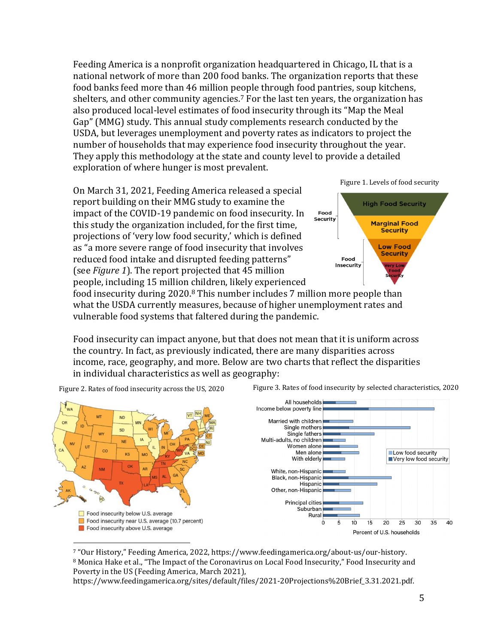Feeding America is a nonprofit organization headquartered in Chicago, IL that is a national network of more than 200 food banks. The organization reports that these food banks feed more than 46 million people through food pantries, soup kitchens, shelters, and other community agencies.<sup>7</sup> For the last ten years, the organization has also produced local-level estimates of food insecurity through its "Map the Meal Gap" (MMG) study. This annual study complements research conducted by the USDA, but leverages unemployment and poverty rates as indicators to project the number of households that may experience food insecurity throughout the year. They apply this methodology at the state and county level to provide a detailed exploration of where hunger is most prevalent.

On March 31, 2021, Feeding America released a special report building on their MMG study to examine the impact of the COVID-19 pandemic on food insecurity. In this study the organization included, for the first time, projections of 'very low food security,' which is defined as "a more severe range of food insecurity that involves reduced food intake and disrupted feeding patterns" (see *Figure 1*). The report projected that 45 million people, including 15 million children, likely experienced





food insecurity during 2020.<sup>8</sup> This number includes 7 million more people than what the USDA currently measures, because of higher unemployment rates and vulnerable food systems that faltered during the pandemic.

Food insecurity can impact anyone, but that does not mean that it is uniform across the country. In fact, as previously indicated, there are many disparities across income, race, geography, and more. Below are two charts that reflect the disparities in individual characteristics as well as geography:



Figure 2. Rates of food insecurity across the US, 2020 Figure 3. Rates of food insecurity by selected characteristics, 2020

<sup>7</sup> "Our History," Feeding America, 2022, https://www.feedingamerica.org/about-us/our-history. <sup>8</sup> Monica Hake et al., "The Impact of the Coronavirus on Local Food Insecurity," Food Insecurity and Poverty in the US (Feeding America, March 2021),

https://www.feedingamerica.org/sites/default/files/2021-20Projections%20Brief\_3.31.2021.pdf.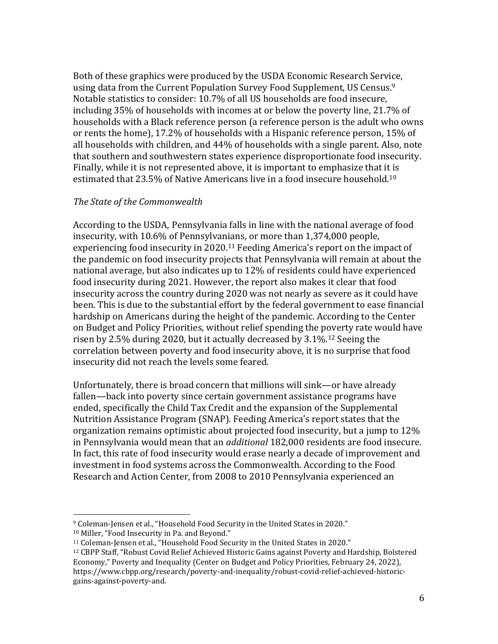Both of these graphics were produced by the USDA Economic Research Service, using data from the Current Population Survey Food Supplement, US Census. 9 Notable statistics to consider: 10.7% of all US households are food insecure, including 35% of households with incomes at or below the poverty line, 21.7% of households with a Black reference person (a reference person is the adult who owns or rents the home), 17.2% of households with a Hispanic reference person, 15% of all households with children, and 44% of households with a single parent. Also, note that southern and southwestern states experience disproportionate food insecurity. Finally, while it is not represented above, it is important to emphasize that it is estimated that 23.5% of Native Americans live in a food insecure household.<sup>10</sup>

### *The State of the Commonwealth*

According to the USDA, Pennsylvania falls in line with the national average of food insecurity, with 10.6% of Pennsylvanians, or more than 1,374,000 people, experiencing food insecurity in 2020.<sup>11</sup> Feeding America's report on the impact of the pandemic on food insecurity projects that Pennsylvania will remain at about the national average, but also indicates up to 12% of residents could have experienced food insecurity during 2021. However, the report also makes it clear that food insecurity across the country during 2020 was not nearly as severe as it could have been. This is due to the substantial effort by the federal government to ease financial hardship on Americans during the height of the pandemic. According to the Center on Budget and Policy Priorities, without relief spending the poverty rate would have risen by 2.5% during 2020, but it actually decreased by 3.1%.<sup>12</sup> Seeing the correlation between poverty and food insecurity above, it is no surprise that food insecurity did not reach the levels some feared.

Unfortunately, there is broad concern that millions will sink—or have already fallen—back into poverty since certain government assistance programs have ended, specifically the Child Tax Credit and the expansion of the Supplemental Nutrition Assistance Program (SNAP). Feeding America's report states that the organization remains optimistic about projected food insecurity, but a jump to 12% in Pennsylvania would mean that an *additional* 182,000 residents are food insecure. In fact, this rate of food insecurity would erase nearly a decade of improvement and investment in food systems across the Commonwealth. According to the Food Research and Action Center, from 2008 to 2010 Pennsylvania experienced an

 $\overline{a}$ 

<sup>9</sup> Coleman-Jensen et al., "Household Food Security in the United States in 2020."

<sup>10</sup> Miller, "Food Insecurity in Pa. and Beyond."

<sup>11</sup> Coleman-Jensen et al., "Household Food Security in the United States in 2020."

<sup>12</sup> CBPP Staff, "Robust Covid Relief Achieved Historic Gains against Poverty and Hardship, Bolstered Economy," Poverty and Inequality (Center on Budget and Policy Priorities, February 24, 2022), https://www.cbpp.org/research/poverty-and-inequality/robust-covid-relief-achieved-historicgains-against-poverty-and.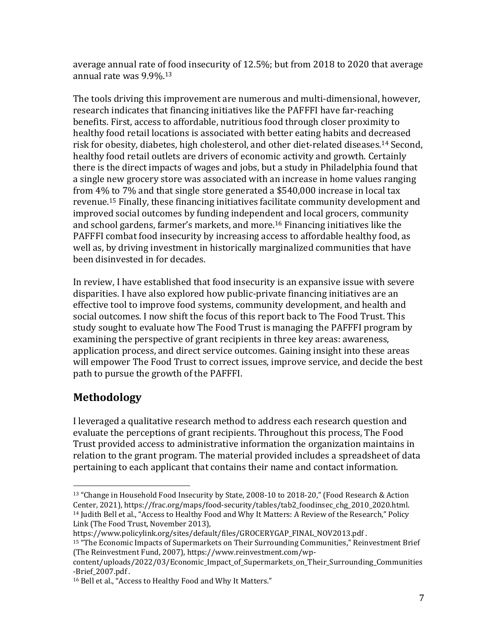average annual rate of food insecurity of 12.5%; but from 2018 to 2020 that average annual rate was 9.9%.<sup>13</sup>

The tools driving this improvement are numerous and multi-dimensional, however, research indicates that financing initiatives like the PAFFFI have far-reaching benefits. First, access to affordable, nutritious food through closer proximity to healthy food retail locations is associated with better eating habits and decreased risk for obesity, diabetes, high cholesterol, and other diet-related diseases.<sup>14</sup> Second, healthy food retail outlets are drivers of economic activity and growth. Certainly there is the direct impacts of wages and jobs, but a study in Philadelphia found that a single new grocery store was associated with an increase in home values ranging from 4% to 7% and that single store generated a \$540,000 increase in local tax revenue.<sup>15</sup> Finally, these financing initiatives facilitate community development and improved social outcomes by funding independent and local grocers, community and school gardens, farmer's markets, and more.<sup>16</sup> Financing initiatives like the PAFFFI combat food insecurity by increasing access to affordable healthy food, as well as, by driving investment in historically marginalized communities that have been disinvested in for decades.

In review, I have established that food insecurity is an expansive issue with severe disparities. I have also explored how public-private financing initiatives are an effective tool to improve food systems, community development, and health and social outcomes. I now shift the focus of this report back to The Food Trust. This study sought to evaluate how The Food Trust is managing the PAFFFI program by examining the perspective of grant recipients in three key areas: awareness, application process, and direct service outcomes. Gaining insight into these areas will empower The Food Trust to correct issues, improve service, and decide the best path to pursue the growth of the PAFFFI.

# **Methodology**

 $\overline{a}$ 

I leveraged a qualitative research method to address each research question and evaluate the perceptions of grant recipients. Throughout this process, The Food Trust provided access to administrative information the organization maintains in relation to the grant program. The material provided includes a spreadsheet of data pertaining to each applicant that contains their name and contact information.

<sup>&</sup>lt;sup>13</sup> "Change in Household Food Insecurity by State, 2008-10 to 2018-20," (Food Research & Action Center, 2021), https://frac.org/maps/food-security/tables/tab2\_foodinsec\_chg\_2010\_2020.html. 14 Judith Bell et al., "Access to Healthy Food and Why It Matters: A Review of the Research," Policy Link (The Food Trust, November 2013),

https://www.policylink.org/sites/default/files/GROCERYGAP\_FINAL\_NOV2013.pdf .

<sup>15</sup> "The Economic Impacts of Supermarkets on Their Surrounding Communities," Reinvestment Brief (The Reinvestment Fund, 2007), https://www.reinvestment.com/wp-

content/uploads/2022/03/Economic\_Impact\_of\_Supermarkets\_on\_Their\_Surrounding\_Communities -Brief\_2007.pdf .

<sup>16</sup> Bell et al., "Access to Healthy Food and Why It Matters."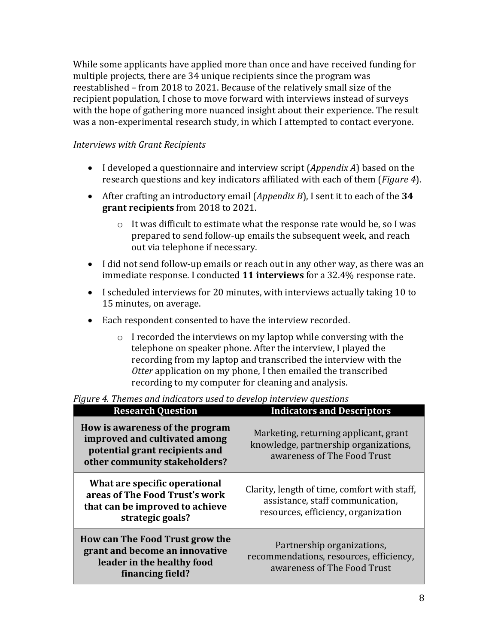While some applicants have applied more than once and have received funding for multiple projects, there are 34 unique recipients since the program was reestablished – from 2018 to 2021. Because of the relatively small size of the recipient population, I chose to move forward with interviews instead of surveys with the hope of gathering more nuanced insight about their experience. The result was a non-experimental research study, in which I attempted to contact everyone.

### *Interviews with Grant Recipients*

- I developed a questionnaire and interview script (*Appendix A*) based on the research questions and key indicators affiliated with each of them (*Figure 4*).
- After crafting an introductory email (*Appendix B*), I sent it to each of the **34 grant recipients** from 2018 to 2021.
	- o It was difficult to estimate what the response rate would be, so I was prepared to send follow-up emails the subsequent week, and reach out via telephone if necessary.
- I did not send follow-up emails or reach out in any other way, as there was an immediate response. I conducted **11 interviews** for a 32.4% response rate.
- I scheduled interviews for 20 minutes, with interviews actually taking 10 to 15 minutes, on average.
- Each respondent consented to have the interview recorded.
	- o I recorded the interviews on my laptop while conversing with the telephone on speaker phone. After the interview, I played the recording from my laptop and transcribed the interview with the *Otter* application on my phone, I then emailed the transcribed recording to my computer for cleaning and analysis.

**Research Question Indicators and Descriptors How is awareness of the program improved and cultivated among potential grant recipients and other community stakeholders?** Marketing, returning applicant, grant knowledge, partnership organizations, awareness of The Food Trust **What are specific operational areas of The Food Trust's work that can be improved to achieve strategic goals?** Clarity, length of time, comfort with staff, assistance, staff communication, resources, efficiency, organization **How can The Food Trust grow the grant and become an innovative leader in the healthy food financing field?** Partnership organizations, recommendations, resources, efficiency, awareness of The Food Trust

*Figure 4. Themes and indicators used to develop interview questions*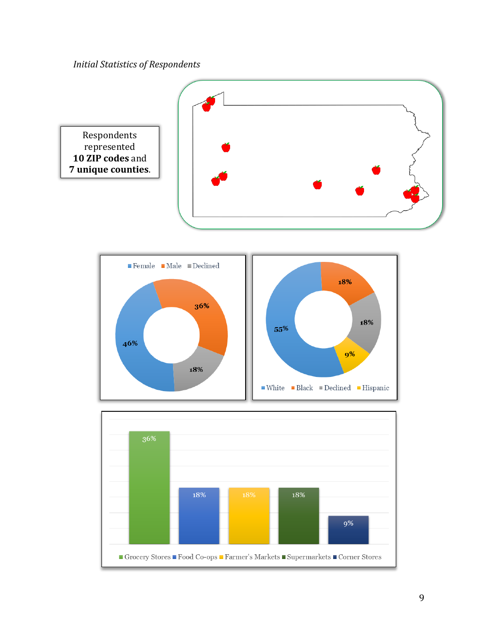*Initial Statistics of Respondents*

46%

18%



55%



18%

 $9%$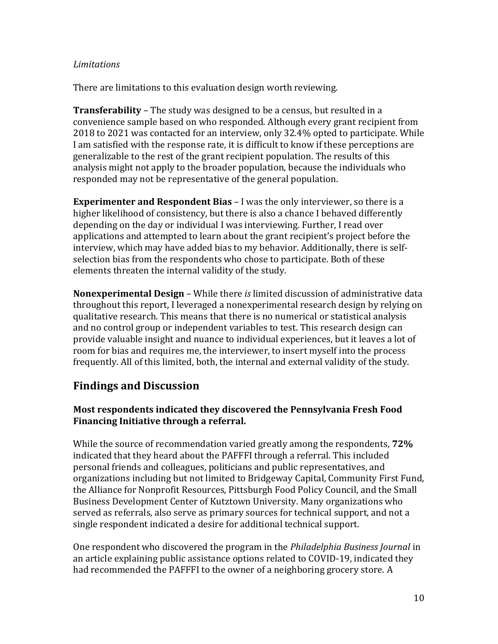### *Limitations*

There are limitations to this evaluation design worth reviewing.

**Transferability** – The study was designed to be a census, but resulted in a convenience sample based on who responded. Although every grant recipient from 2018 to 2021 was contacted for an interview, only 32.4% opted to participate. While I am satisfied with the response rate, it is difficult to know if these perceptions are generalizable to the rest of the grant recipient population. The results of this analysis might not apply to the broader population, because the individuals who responded may not be representative of the general population.

**Experimenter and Respondent Bias** – I was the only interviewer, so there is a higher likelihood of consistency, but there is also a chance I behaved differently depending on the day or individual I was interviewing. Further, I read over applications and attempted to learn about the grant recipient's project before the interview, which may have added bias to my behavior. Additionally, there is selfselection bias from the respondents who chose to participate. Both of these elements threaten the internal validity of the study.

**Nonexperimental Design** – While there *is* limited discussion of administrative data throughout this report, I leveraged a nonexperimental research design by relying on qualitative research. This means that there is no numerical or statistical analysis and no control group or independent variables to test. This research design can provide valuable insight and nuance to individual experiences, but it leaves a lot of room for bias and requires me, the interviewer, to insert myself into the process frequently. All of this limited, both, the internal and external validity of the study.

## **Findings and Discussion**

### **Most respondents indicated they discovered the Pennsylvania Fresh Food Financing Initiative through a referral.**

While the source of recommendation varied greatly among the respondents, **72%** indicated that they heard about the PAFFFI through a referral. This included personal friends and colleagues, politicians and public representatives, and organizations including but not limited to Bridgeway Capital, Community First Fund, the Alliance for Nonprofit Resources, Pittsburgh Food Policy Council, and the Small Business Development Center of Kutztown University. Many organizations who served as referrals, also serve as primary sources for technical support, and not a single respondent indicated a desire for additional technical support.

One respondent who discovered the program in the *Philadelphia Business Journal* in an article explaining public assistance options related to COVID-19, indicated they had recommended the PAFFFI to the owner of a neighboring grocery store. A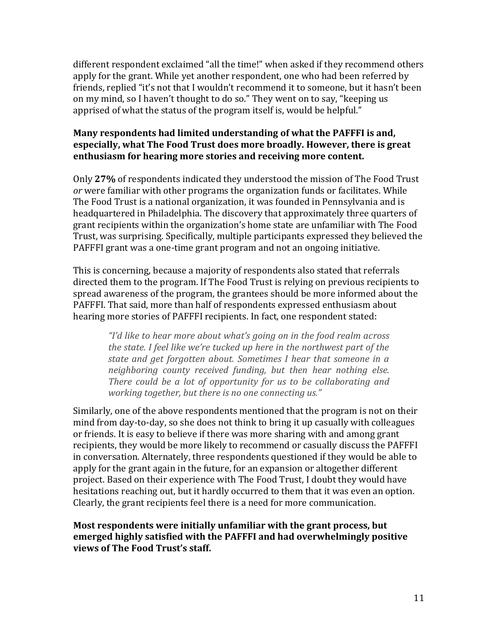different respondent exclaimed "all the time!" when asked if they recommend others apply for the grant. While yet another respondent, one who had been referred by friends, replied "it's not that I wouldn't recommend it to someone, but it hasn't been on my mind, so I haven't thought to do so." They went on to say, "keeping us apprised of what the status of the program itself is, would be helpful."

### **Many respondents had limited understanding of what the PAFFFI is and, especially, what The Food Trust does more broadly. However, there is great enthusiasm for hearing more stories and receiving more content.**

Only **27%** of respondents indicated they understood the mission of The Food Trust *or* were familiar with other programs the organization funds or facilitates. While The Food Trust is a national organization, it was founded in Pennsylvania and is headquartered in Philadelphia. The discovery that approximately three quarters of grant recipients within the organization's home state are unfamiliar with The Food Trust, was surprising. Specifically, multiple participants expressed they believed the PAFFFI grant was a one-time grant program and not an ongoing initiative.

This is concerning, because a majority of respondents also stated that referrals directed them to the program. If The Food Trust is relying on previous recipients to spread awareness of the program, the grantees should be more informed about the PAFFFI. That said, more than half of respondents expressed enthusiasm about hearing more stories of PAFFFI recipients. In fact, one respondent stated:

*"I'd like to hear more about what's going on in the food realm across the state. I feel like we're tucked up here in the northwest part of the state and get forgotten about. Sometimes I hear that someone in a neighboring county received funding, but then hear nothing else. There could be a lot of opportunity for us to be collaborating and working together, but there is no one connecting us."*

Similarly, one of the above respondents mentioned that the program is not on their mind from day-to-day, so she does not think to bring it up casually with colleagues or friends. It is easy to believe if there was more sharing with and among grant recipients, they would be more likely to recommend or casually discuss the PAFFFI in conversation. Alternately, three respondents questioned if they would be able to apply for the grant again in the future, for an expansion or altogether different project. Based on their experience with The Food Trust, I doubt they would have hesitations reaching out, but it hardly occurred to them that it was even an option. Clearly, the grant recipients feel there is a need for more communication.

### **Most respondents were initially unfamiliar with the grant process, but emerged highly satisfied with the PAFFFI and had overwhelmingly positive views of The Food Trust's staff.**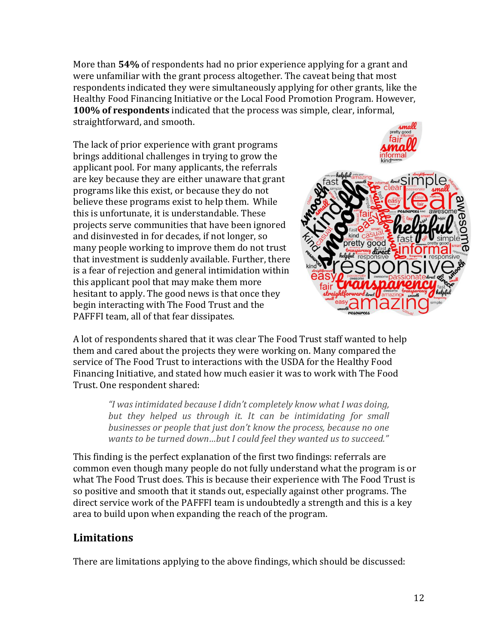More than **54%** of respondents had no prior experience applying for a grant and were unfamiliar with the grant process altogether. The caveat being that most respondents indicated they were simultaneously applying for other grants, like the Healthy Food Financing Initiative or the Local Food Promotion Program. However, **100% of respondents** indicated that the process was simple, clear, informal, straightforward, and smooth.

The lack of prior experience with grant programs brings additional challenges in trying to grow the applicant pool. For many applicants, the referrals are key because they are either unaware that grant programs like this exist, or because they do not believe these programs exist to help them. While this is unfortunate, it is understandable. These projects serve communities that have been ignored and disinvested in for decades, if not longer, so many people working to improve them do not trust that investment is suddenly available. Further, there is a fear of rejection and general intimidation within this applicant pool that may make them more hesitant to apply. The good news is that once they begin interacting with The Food Trust and the PAFFFI team, all of that fear dissipates.



A lot of respondents shared that it was clear The Food Trust staff wanted to help them and cared about the projects they were working on. Many compared the service of The Food Trust to interactions with the USDA for the Healthy Food Financing Initiative, and stated how much easier it was to work with The Food Trust. One respondent shared:

> *"I was intimidated because I didn't completely know what I was doing, but they helped us through it. It can be intimidating for small businesses or people that just don't know the process, because no one wants to be turned down…but I could feel they wanted us to succeed."*

This finding is the perfect explanation of the first two findings: referrals are common even though many people do not fully understand what the program is or what The Food Trust does. This is because their experience with The Food Trust is so positive and smooth that it stands out, especially against other programs. The direct service work of the PAFFFI team is undoubtedly a strength and this is a key area to build upon when expanding the reach of the program.

# **Limitations**

There are limitations applying to the above findings, which should be discussed: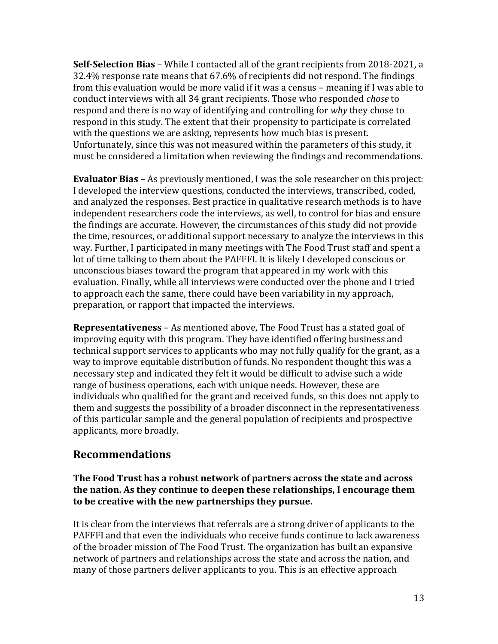**Self-Selection Bias** – While I contacted all of the grant recipients from 2018-2021, a 32.4% response rate means that 67.6% of recipients did not respond. The findings from this evaluation would be more valid if it was a census – meaning if I was able to conduct interviews with all 34 grant recipients. Those who responded *chose* to respond and there is no way of identifying and controlling for *why* they chose to respond in this study. The extent that their propensity to participate is correlated with the questions we are asking, represents how much bias is present. Unfortunately, since this was not measured within the parameters of this study, it must be considered a limitation when reviewing the findings and recommendations.

**Evaluator Bias** – As previously mentioned, I was the sole researcher on this project: I developed the interview questions, conducted the interviews, transcribed, coded, and analyzed the responses. Best practice in qualitative research methods is to have independent researchers code the interviews, as well, to control for bias and ensure the findings are accurate. However, the circumstances of this study did not provide the time, resources, or additional support necessary to analyze the interviews in this way. Further, I participated in many meetings with The Food Trust staff and spent a lot of time talking to them about the PAFFFI. It is likely I developed conscious or unconscious biases toward the program that appeared in my work with this evaluation. Finally, while all interviews were conducted over the phone and I tried to approach each the same, there could have been variability in my approach, preparation, or rapport that impacted the interviews.

**Representativeness** – As mentioned above, The Food Trust has a stated goal of improving equity with this program. They have identified offering business and technical support services to applicants who may not fully qualify for the grant, as a way to improve equitable distribution of funds. No respondent thought this was a necessary step and indicated they felt it would be difficult to advise such a wide range of business operations, each with unique needs. However, these are individuals who qualified for the grant and received funds, so this does not apply to them and suggests the possibility of a broader disconnect in the representativeness of this particular sample and the general population of recipients and prospective applicants, more broadly.

### **Recommendations**

### **The Food Trust has a robust network of partners across the state and across the nation. As they continue to deepen these relationships, I encourage them to be creative with the new partnerships they pursue.**

It is clear from the interviews that referrals are a strong driver of applicants to the PAFFFI and that even the individuals who receive funds continue to lack awareness of the broader mission of The Food Trust. The organization has built an expansive network of partners and relationships across the state and across the nation, and many of those partners deliver applicants to you. This is an effective approach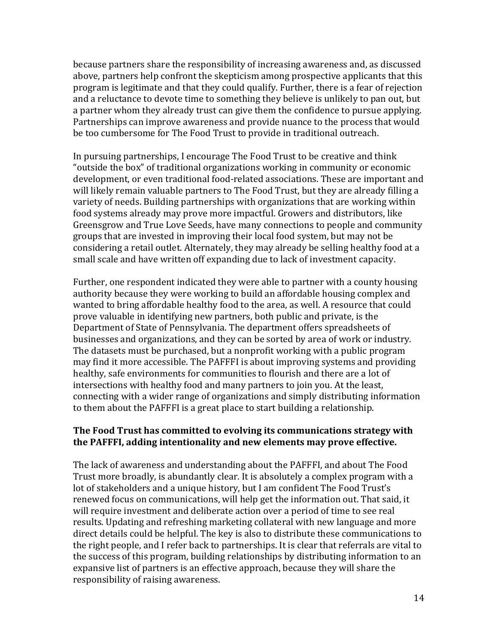because partners share the responsibility of increasing awareness and, as discussed above, partners help confront the skepticism among prospective applicants that this program is legitimate and that they could qualify. Further, there is a fear of rejection and a reluctance to devote time to something they believe is unlikely to pan out, but a partner whom they already trust can give them the confidence to pursue applying. Partnerships can improve awareness and provide nuance to the process that would be too cumbersome for The Food Trust to provide in traditional outreach.

In pursuing partnerships, I encourage The Food Trust to be creative and think "outside the box" of traditional organizations working in community or economic development, or even traditional food-related associations. These are important and will likely remain valuable partners to The Food Trust, but they are already filling a variety of needs. Building partnerships with organizations that are working within food systems already may prove more impactful. Growers and distributors, like Greensgrow and True Love Seeds, have many connections to people and community groups that are invested in improving their local food system, but may not be considering a retail outlet. Alternately, they may already be selling healthy food at a small scale and have written off expanding due to lack of investment capacity.

Further, one respondent indicated they were able to partner with a county housing authority because they were working to build an affordable housing complex and wanted to bring affordable healthy food to the area, as well. A resource that could prove valuable in identifying new partners, both public and private, is the Department of State of Pennsylvania. The department offers spreadsheets of businesses and organizations, and they can be sorted by area of work or industry. The datasets must be purchased, but a nonprofit working with a public program may find it more accessible. The PAFFFI is about improving systems and providing healthy, safe environments for communities to flourish and there are a lot of intersections with healthy food and many partners to join you. At the least, connecting with a wider range of organizations and simply distributing information to them about the PAFFFI is a great place to start building a relationship.

### **The Food Trust has committed to evolving its communications strategy with the PAFFFI, adding intentionality and new elements may prove effective.**

The lack of awareness and understanding about the PAFFFI, and about The Food Trust more broadly, is abundantly clear. It is absolutely a complex program with a lot of stakeholders and a unique history, but I am confident The Food Trust's renewed focus on communications, will help get the information out. That said, it will require investment and deliberate action over a period of time to see real results. Updating and refreshing marketing collateral with new language and more direct details could be helpful. The key is also to distribute these communications to the right people, and I refer back to partnerships. It is clear that referrals are vital to the success of this program, building relationships by distributing information to an expansive list of partners is an effective approach, because they will share the responsibility of raising awareness.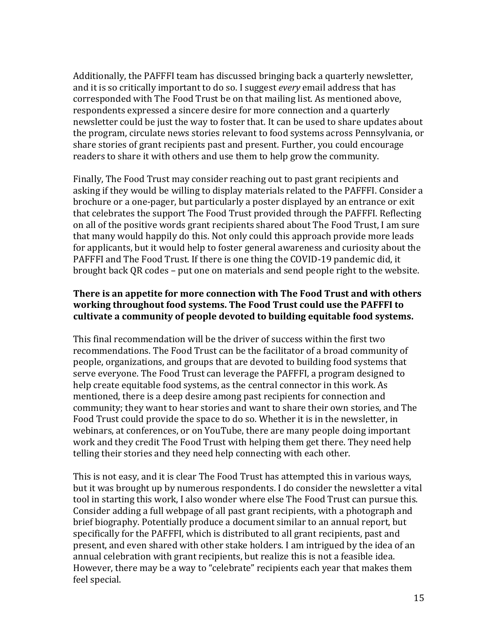Additionally, the PAFFFI team has discussed bringing back a quarterly newsletter, and it is so critically important to do so. I suggest *every* email address that has corresponded with The Food Trust be on that mailing list. As mentioned above, respondents expressed a sincere desire for more connection and a quarterly newsletter could be just the way to foster that. It can be used to share updates about the program, circulate news stories relevant to food systems across Pennsylvania, or share stories of grant recipients past and present. Further, you could encourage readers to share it with others and use them to help grow the community.

Finally, The Food Trust may consider reaching out to past grant recipients and asking if they would be willing to display materials related to the PAFFFI. Consider a brochure or a one-pager, but particularly a poster displayed by an entrance or exit that celebrates the support The Food Trust provided through the PAFFFI. Reflecting on all of the positive words grant recipients shared about The Food Trust, I am sure that many would happily do this. Not only could this approach provide more leads for applicants, but it would help to foster general awareness and curiosity about the PAFFFI and The Food Trust. If there is one thing the COVID-19 pandemic did, it brought back QR codes – put one on materials and send people right to the website.

### **There is an appetite for more connection with The Food Trust and with others working throughout food systems. The Food Trust could use the PAFFFI to cultivate a community of people devoted to building equitable food systems.**

This final recommendation will be the driver of success within the first two recommendations. The Food Trust can be the facilitator of a broad community of people, organizations, and groups that are devoted to building food systems that serve everyone. The Food Trust can leverage the PAFFFI, a program designed to help create equitable food systems, as the central connector in this work. As mentioned, there is a deep desire among past recipients for connection and community; they want to hear stories and want to share their own stories, and The Food Trust could provide the space to do so. Whether it is in the newsletter, in webinars, at conferences, or on YouTube, there are many people doing important work and they credit The Food Trust with helping them get there. They need help telling their stories and they need help connecting with each other.

This is not easy, and it is clear The Food Trust has attempted this in various ways, but it was brought up by numerous respondents. I do consider the newsletter a vital tool in starting this work, I also wonder where else The Food Trust can pursue this. Consider adding a full webpage of all past grant recipients, with a photograph and brief biography. Potentially produce a document similar to an annual report, but specifically for the PAFFFI, which is distributed to all grant recipients, past and present, and even shared with other stake holders. I am intrigued by the idea of an annual celebration with grant recipients, but realize this is not a feasible idea. However, there may be a way to "celebrate" recipients each year that makes them feel special.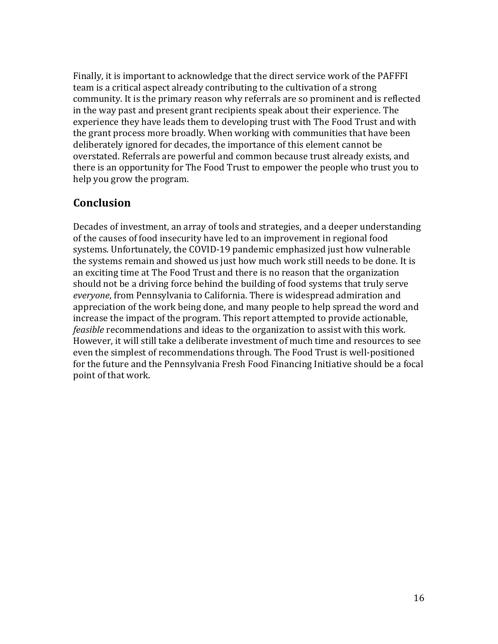Finally, it is important to acknowledge that the direct service work of the PAFFFI team is a critical aspect already contributing to the cultivation of a strong community. It is the primary reason why referrals are so prominent and is reflected in the way past and present grant recipients speak about their experience. The experience they have leads them to developing trust with The Food Trust and with the grant process more broadly. When working with communities that have been deliberately ignored for decades, the importance of this element cannot be overstated. Referrals are powerful and common because trust already exists, and there is an opportunity for The Food Trust to empower the people who trust you to help you grow the program.

### **Conclusion**

Decades of investment, an array of tools and strategies, and a deeper understanding of the causes of food insecurity have led to an improvement in regional food systems. Unfortunately, the COVID-19 pandemic emphasized just how vulnerable the systems remain and showed us just how much work still needs to be done. It is an exciting time at The Food Trust and there is no reason that the organization should not be a driving force behind the building of food systems that truly serve *everyone*, from Pennsylvania to California. There is widespread admiration and appreciation of the work being done, and many people to help spread the word and increase the impact of the program. This report attempted to provide actionable, *feasible* recommendations and ideas to the organization to assist with this work. However, it will still take a deliberate investment of much time and resources to see even the simplest of recommendations through. The Food Trust is well-positioned for the future and the Pennsylvania Fresh Food Financing Initiative should be a focal point of that work.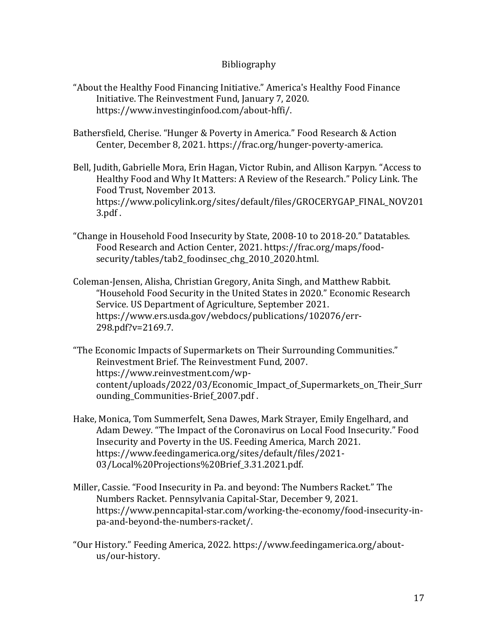#### Bibliography

- "About the Healthy Food Financing Initiative." America's Healthy Food Finance Initiative. The Reinvestment Fund, January 7, 2020. https://www.investinginfood.com/about-hffi/.
- Bathersfield, Cherise. "Hunger & Poverty in America." Food Research & Action Center, December 8, 2021. https://frac.org/hunger-poverty-america.
- Bell, Judith, Gabrielle Mora, Erin Hagan, Victor Rubin, and Allison Karpyn. "Access to Healthy Food and Why It Matters: A Review of the Research." Policy Link. The Food Trust, November 2013. https://www.policylink.org/sites/default/files/GROCERYGAP\_FINAL\_NOV201 3.pdf .
- "Change in Household Food Insecurity by State, 2008-10 to 2018-20." Datatables. Food Research and Action Center, 2021. https://frac.org/maps/foodsecurity/tables/tab2\_foodinsec\_chg\_2010\_2020.html.
- Coleman-Jensen, Alisha, Christian Gregory, Anita Singh, and Matthew Rabbit. "Household Food Security in the United States in 2020." Economic Research Service. US Department of Agriculture, September 2021. https://www.ers.usda.gov/webdocs/publications/102076/err-298.pdf?v=2169.7.
- "The Economic Impacts of Supermarkets on Their Surrounding Communities." Reinvestment Brief. The Reinvestment Fund, 2007. https://www.reinvestment.com/wpcontent/uploads/2022/03/Economic\_Impact\_of\_Supermarkets\_on\_Their\_Surr ounding\_Communities-Brief\_2007.pdf .
- Hake, Monica, Tom Summerfelt, Sena Dawes, Mark Strayer, Emily Engelhard, and Adam Dewey. "The Impact of the Coronavirus on Local Food Insecurity." Food Insecurity and Poverty in the US. Feeding America, March 2021. https://www.feedingamerica.org/sites/default/files/2021- 03/Local%20Projections%20Brief\_3.31.2021.pdf.
- Miller, Cassie. "Food Insecurity in Pa. and beyond: The Numbers Racket." The Numbers Racket. Pennsylvania Capital-Star, December 9, 2021. https://www.penncapital-star.com/working-the-economy/food-insecurity-inpa-and-beyond-the-numbers-racket/.
- "Our History." Feeding America, 2022. https://www.feedingamerica.org/aboutus/our-history.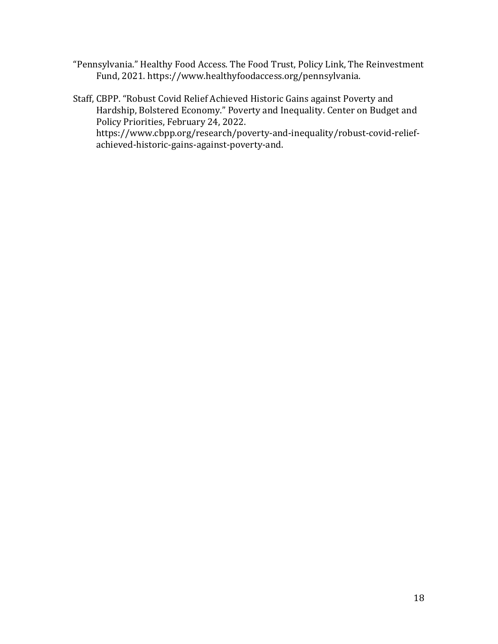"Pennsylvania." Healthy Food Access. The Food Trust, Policy Link, The Reinvestment Fund, 2021. https://www.healthyfoodaccess.org/pennsylvania.

Staff, CBPP. "Robust Covid Relief Achieved Historic Gains against Poverty and Hardship, Bolstered Economy." Poverty and Inequality. Center on Budget and Policy Priorities, February 24, 2022.

https://www.cbpp.org/research/poverty-and-inequality/robust-covid-reliefachieved-historic-gains-against-poverty-and.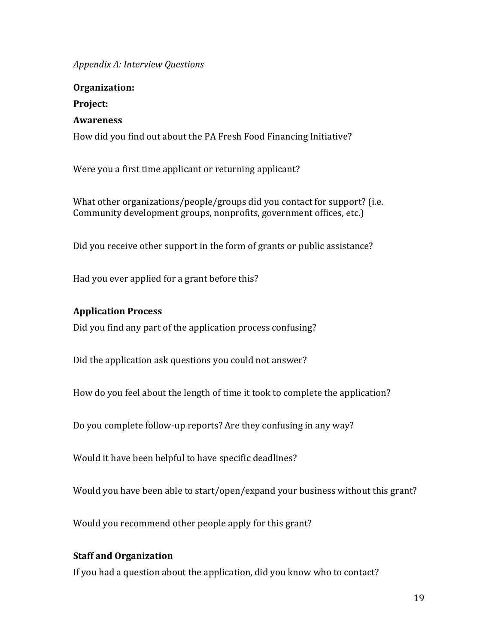*Appendix A: Interview Questions*

**Organization: Project: Awareness** How did you find out about the PA Fresh Food Financing Initiative?

Were you a first time applicant or returning applicant?

What other organizations/people/groups did you contact for support? (i.e. Community development groups, nonprofits, government offices, etc.)

Did you receive other support in the form of grants or public assistance?

Had you ever applied for a grant before this?

### **Application Process**

Did you find any part of the application process confusing?

Did the application ask questions you could not answer?

How do you feel about the length of time it took to complete the application?

Do you complete follow-up reports? Are they confusing in any way?

Would it have been helpful to have specific deadlines?

Would you have been able to start/open/expand your business without this grant?

Would you recommend other people apply for this grant?

### **Staff and Organization**

If you had a question about the application, did you know who to contact?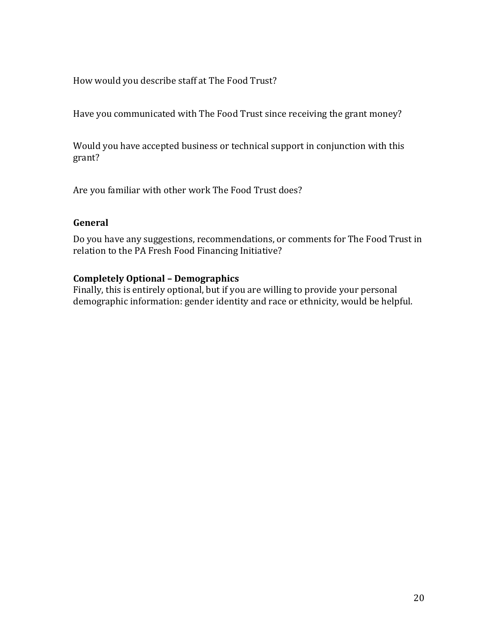How would you describe staff at The Food Trust?

Have you communicated with The Food Trust since receiving the grant money?

Would you have accepted business or technical support in conjunction with this grant?

Are you familiar with other work The Food Trust does?

### **General**

Do you have any suggestions, recommendations, or comments for The Food Trust in relation to the PA Fresh Food Financing Initiative?

### **Completely Optional – Demographics**

Finally, this is entirely optional, but if you are willing to provide your personal demographic information: gender identity and race or ethnicity, would be helpful.